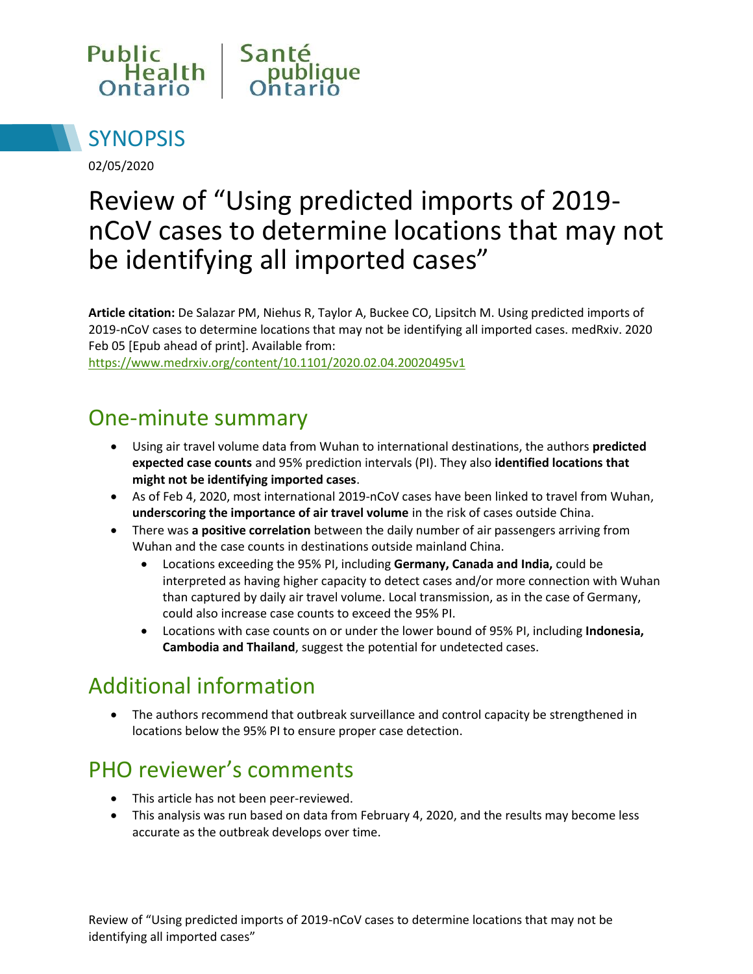



02/05/2020

# Review of "Using predicted imports of 2019 nCoV cases to determine locations that may not be identifying all imported cases"

**Article citation:** De Salazar PM, Niehus R, Taylor A, Buckee CO, Lipsitch M. Using predicted imports of 2019-nCoV cases to determine locations that may not be identifying all imported cases. medRxiv. 2020 Feb 05 [Epub ahead of print]. Available from:

<https://www.medrxiv.org/content/10.1101/2020.02.04.20020495v1>

#### One-minute summary

- Using air travel volume data from Wuhan to international destinations, the authors **predicted expected case counts** and 95% prediction intervals (PI). They also **identified locations that might not be identifying imported cases**.
- As of Feb 4, 2020, most international 2019-nCoV cases have been linked to travel from Wuhan, **underscoring the importance of air travel volume** in the risk of cases outside China.
- There was **a positive correlation** between the daily number of air passengers arriving from Wuhan and the case counts in destinations outside mainland China.
	- Locations exceeding the 95% PI, including **Germany, Canada and India,** could be interpreted as having higher capacity to detect cases and/or more connection with Wuhan than captured by daily air travel volume. Local transmission, as in the case of Germany, could also increase case counts to exceed the 95% PI.
	- Locations with case counts on or under the lower bound of 95% PI, including **Indonesia, Cambodia and Thailand**, suggest the potential for undetected cases.

#### Additional information

 The authors recommend that outbreak surveillance and control capacity be strengthened in locations below the 95% PI to ensure proper case detection.

## PHO reviewer's comments

- This article has not been peer-reviewed.
- This analysis was run based on data from February 4, 2020, and the results may become less accurate as the outbreak develops over time.